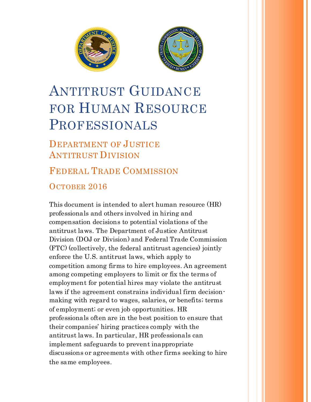



# ANTITRUST GUIDANCE FOR HUMAN RESOURCE PROFESSIONALS

# DEPARTMENT OF JUSTICE ANTITRUST DIVISION

# FEDERAL TRADE COMMISSION OCTOBER 2016

This document is intended to alert human resource (HR) professionals and others involved in hiring and compensation decisions to potential violations of the antitrust laws. The Department of Justice Antitrust Division (DOJ or Division) and Federal Trade Commission (FTC) (collectively, the federal antitrust agencies) jointly enforce the U.S. antitrust laws, which apply to competition among firms to hire employees. An agreement among competing employers to limit or fix the terms of employment for potential hires may violate the antitrust laws if the agreement constrains individual firm decisionmaking with regard to wages, salaries, or benefits; terms of employment; or even job opportunities. HR professionals often are in the best position to ensure that their companies' hiring practices comply with the antitrust laws. In particular, HR professionals can implement safeguards to prevent inappropriate discussions or agreements with other firms seeking to hire the same employees.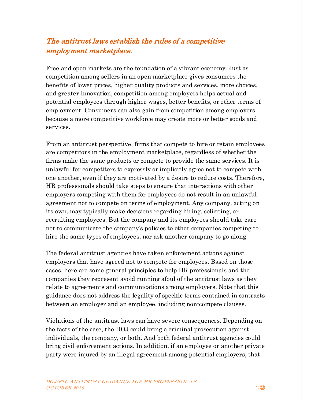## The antitrust laws establish the rules of a competitive employment marketplace.

Free and open markets are the foundation of a vibrant economy. Just as competition among sellers in an open marketplace gives consumers the benefits of lower prices, higher quality products and services, more choices, and greater innovation, competition among employers helps actual and potential employees through higher wages, better benefits, or other terms of employment. Consumers can also gain from competition among employers because a more competitive workforce may create more or better goods and services.

From an antitrust perspective, firms that compete to hire or retain employees are competitors in the employment marketplace, regardless of whether the firms make the same products or compete to provide the same services. It is unlawful for competitors to expressly or implicitly agree not to compete with one another, even if they are motivated by a desire to reduce costs. Therefore, HR professionals should take steps to ensure that interactions with other employers competing with them for employees do not result in an unlawful agreement not to compete on terms of employment. Any company, acting on its own, may typically make decisions regarding hiring, soliciting, or recruiting employees. But the company and its employees should take care not to communicate the company's policies to other companies competing to hire the same types of employees, nor ask another company to go along.

The federal antitrust agencies have taken enforcement actions against employers that have agreed not to compete for employees. Based on those cases, here are some general principles to help HR professionals and the companies they represent avoid running afoul of the antitrust laws as they relate to agreements and communications among employers. Note that this guidance does not address the legality of specific terms contained in contracts between an employer and an employee, including non-compete clauses.

Violations of the antitrust laws can have severe consequences. Depending on the facts of the case, the DOJ could bring a criminal prosecution against individuals, the company, or both. And both federal antitrust agencies could bring civil enforcement actions. In addition, if an employee or another private party were injured by an illegal agreement among potential employers, that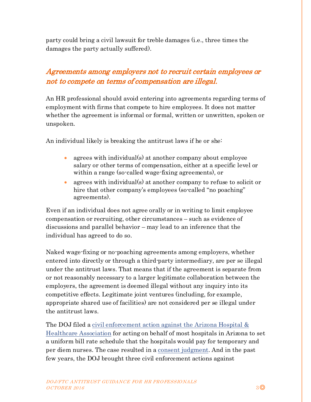party could bring a civil lawsuit for treble damages (i.e., three times the damages the party actually suffered).

## Agreements among employers not to recruit certain employees or not to compete on terms of compensation are illegal.

An HR professional should avoid entering into agreements regarding terms of employment with firms that compete to hire employees. It does not matter whether the agreement is informal or formal, written or unwritten, spoken or unspoken.

An individual likely is breaking the antitrust laws if he or she:

- agrees with individual(s) at another company about employee salary or other terms of compensation, either at a specific level or within a range (so-called wage-fixing agreements), or
- agrees with individual(s) at another company to refuse to solicit or hire that other company's employees (so-called "no poaching" agreements).

Even if an individual does not agree orally or in writing to limit employee compensation or recruiting, other circumstances – such as evidence of discussions and parallel behavior – may lead to an inference that the individual has agreed to do so.

Naked wage-fixing or no-poaching agreements among employers, whether entered into directly or through a third-party intermediary, are per se illegal under the antitrust laws. That means that if the agreement is separate from or not reasonably necessary to a larger legitimate collaboration between the employers, the agreement is deemed illegal without any inquiry into its competitive effects. Legitimate joint ventures (including, for example, appropriate shared use of facilities) are not considered per se illegal under the antitrust laws.

The DOJ filed a [civil enforcement action against the Arizona Hospital &](https://www.justice.gov/atr/case/us-and-state-arizona-v-arizona-hospital-and-healthcare-association-and-azhha-service-corp)  [Healthcare Association](https://www.justice.gov/atr/case/us-and-state-arizona-v-arizona-hospital-and-healthcare-association-and-azhha-service-corp) for acting on behalf of most hospitals in Arizona to set a uniform bill rate schedule that the hospitals would pay for temporary and per diem nurses. The case resulted in a [consent judgment.](https://www.justice.gov/atr/case-document/final-judgment-17) And in the past few years, the DOJ brought three civil enforcement actions against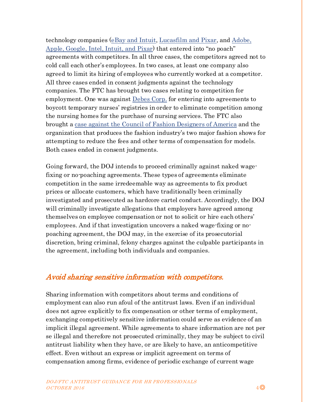technology companies [\(eBay and Intuit,](https://www.justice.gov/atr/case/us-v-ebay-inc) [Lucasfilm and Pixar,](https://www.justice.gov/atr/case/us-v-lucasfilm-ltd) and [Adobe,](https://www.justice.gov/atr/case/us-v-adobe-systems-inc-et-al)  [Apple, Google, Intel, Intuit, and Pixar\)](https://www.justice.gov/atr/case/us-v-adobe-systems-inc-et-al) that entered into "no poach" agreements with competitors. In all three cases, the competitors agreed not to cold call each other's employees. In two cases, at least one company also agreed to limit its hiring of employees who currently worked at a competitor. All three cases ended in consent judgments against the technology companies. The FTC has brought two cases relating to competition for employment. One was against <u>Debes Corp</u>, for entering into agreements to boycott temporary nurses' registries in order to eliminate competition among the nursing homes for the purchase of nursing services. The FTC also brought a [case against the Council of Fashion Designers of America](https://www.ftc.gov/news-events/press-releases/1995/06/council-fashion-designers-america) and the organization that produces the fashion industry's two major fashion shows for attempting to reduce the fees and other terms of compensation for models. Both cases ended in consent judgments.

Going forward, the DOJ intends to proceed criminally against naked wagefixing or no-poaching agreements. These types of agreements eliminate competition in the same irredeemable way as agreements to fix product prices or allocate customers, which have traditionally been criminally investigated and prosecuted as hardcore cartel conduct. Accordingly, the DOJ will criminally investigate allegations that employers have agreed among themselves on employee compensation or not to solicit or hire each others' employees. And if that investigation uncovers a naked wage-fixing or nopoaching agreement, the DOJ may, in the exercise of its prosecutorial discretion, bring criminal, felony charges against the culpable participants in the agreement, including both individuals and companies.

#### Avoid sharing sensitive information with competitors.

Sharing information with competitors about terms and conditions of employment can also run afoul of the antitrust laws. Even if an individual does not agree explicitly to fix compensation or other terms of employment, exchanging competitively sensitive information could serve as evidence of an implicit illegal agreement. While agreements to share information are not per se illegal and therefore not prosecuted criminally, they may be subject to civil antitrust liability when they have, or are likely to have, an anticompetitive effect. Even without an express or implicit agreement on terms of compensation among firms, evidence of periodic exchange of current wage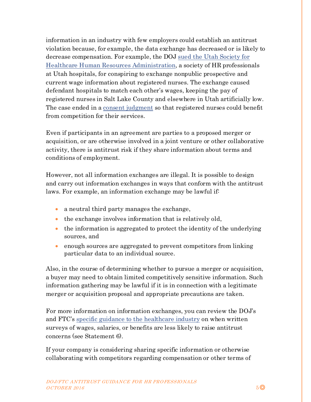information in an industry with few employers could establish an antitrust violation because, for example, the data exchange has decreased or is likely to decrease compensation. For example, the DOJ [sued the Utah Society for](https://www.justice.gov/atr/case/us-v-utah-society-healthcare-human-resources-administration-et-al)  [Healthcare Human Resources Administration,](https://www.justice.gov/atr/case/us-v-utah-society-healthcare-human-resources-administration-et-al) a society of HR professionals at Utah hospitals, for conspiring to exchange nonpublic prospective and current wage information about registered nurses. The exchange caused defendant hospitals to match each other's wages, keeping the pay of registered nurses in Salt Lake County and elsewhere in Utah artificially low. The case ended in [a consent judgment](https://www.justice.gov/atr/case-document/file/628496/download) so that registered nurses could benefit from competition for their services.

Even if participants in an agreement are parties to a proposed merger or acquisition, or are otherwise involved in a joint venture or other collaborative activity, there is antitrust risk if they share information about terms and conditions of employment.

However, not all information exchanges are illegal. It is possible to design and carry out information exchanges in ways that conform with the antitrust laws. For example, an information exchange may be lawful if:

- a neutral third party manages the exchange,
- the exchange involves information that is relatively old,
- the information is aggregated to protect the identity of the underlying sources, and
- enough sources are aggregated to prevent competitors from linking particular data to an individual source.

Also, in the course of determining whether to pursue a merger or acquisition, a buyer may need to obtain limited competitively sensitive information. Such information gathering may be lawful if it is in connection with a legitimate merger or acquisition proposal and appropriate precautions are taken.

For more information on information exchanges, you can review the DOJ's and FTC's [specific guidance to the healthcare](https://www.justice.gov/atr/statements-antitrust-enforcement-policy-health-care) industry on when written surveys of wages, salaries, or benefits are less likely to raise antitrust concerns (see Statement 6).

If your company is considering sharing specific information or otherwise collaborating with competitors regarding compensation or other terms of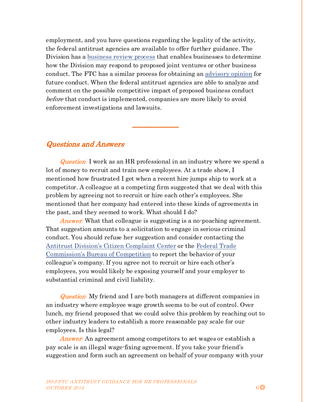employment, and you have questions regarding the legality of the activity, the federal antitrust agencies are available to offer further guidance. The Division has a [business review process](https://www.justice.gov/sites/default/files/atr/legacy/2011/11/03/276833.pdf) that enables businesses to determine how the Division may respond to proposed joint ventures or other business conduct. The FTC has a similar process for obtaining an [advisory opinion](https://www.ftc.gov/tips-advice/competition-guidance/competition-advisory-opinions) for future conduct. When the federal antitrust agencies are able to analyze and comment on the possible competitive impact of proposed business conduct before that conduct is implemented, companies are more likely to avoid enforcement investigations and lawsuits.

\_\_\_\_\_\_\_\_\_\_

#### Questions and Answers

**Question:** I work as an HR professional in an industry where we spend a lot of money to recruit and train new employees. At a trade show, I mentioned how frustrated I get when a recent hire jumps ship to work at a competitor. A colleague at a competing firm suggested that we deal with this problem by agreeing not to recruit or hire each other's employees. She mentioned that her company had entered into these kinds of agreements in the past, and they seemed to work. What should I do?

Answer: What that colleague is suggesting is a no-poaching agreement. That suggestion amounts to a solicitation to engage in serious criminal conduct. You should refuse her suggestion and consider contacting the [Antitrust Division's Citizen Complaint Center](https://www.justice.gov/atr/report-violations) or the [Federal Trade](https://www.ftc.gov/faq/competition/report-antitrust-violation)  [Commission's Bureau of Competition](https://www.ftc.gov/faq/competition/report-antitrust-violation) to report the behavior of your colleague's company. If you agree not to recruit or hire each other's employees, you would likely be exposing yourself and your employer to substantial criminal and civil liability.

**Question:** My friend and I are both managers at different companies in an industry where employee wage growth seems to be out of control. Over lunch, my friend proposed that we could solve this problem by reaching out to other industry leaders to establish a more reasonable pay scale for our employees. Is this legal?

Answer: An agreement among competitors to set wages or establish a pay scale is an illegal wage-fixing agreement. If you take your friend's suggestion and form such an agreement on behalf of your company with your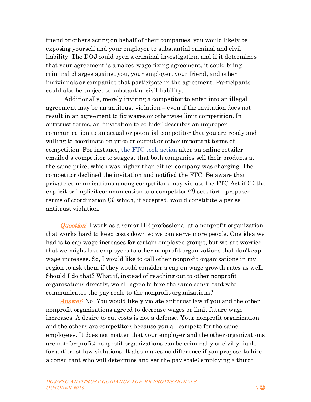friend or others acting on behalf of their companies, you would likely be exposing yourself and your employer to substantial criminal and civil liability. The DOJ could open a criminal investigation, and if it determines that your agreement is a naked wage-fixing agreement, it could bring criminal charges against you, your employer, your friend, and other individuals or companies that participate in the agreement. Participants could also be subject to substantial civil liability.

Additionally, merely inviting a competitor to enter into an illegal agreement may be an antitrust violation – even if the invitation does not result in an agreement to fix wages or otherwise limit competition. In antitrust terms, an "invitation to collude" describes an improper communication to an actual or potential competitor that you are ready and willing to coordinate on price or output or other important terms of competition. For instance, [the FTC took action](https://www.ftc.gov/news-events/press-releases/2015/10/marketer-rug-accessory-settles-ftc-charges-invitation-collude) after an online retailer emailed a competitor to suggest that both companies sell their products at the same price, which was higher than either company was charging. The competitor declined the invitation and notified the FTC. Be aware that private communications among competitors may violate the FTC Act if (1) the explicit or implicit communication to a competitor (2) sets forth proposed terms of coordination (3) which, if accepted, would constitute a per se antitrust violation.

Question: I work as a senior HR professional at a nonprofit organization that works hard to keep costs down so we can serve more people. One idea we had is to cap wage increases for certain employee groups, but we are worried that we might lose employees to other nonprofit organizations that don't cap wage increases. So, I would like to call other nonprofit organizations in my region to ask them if they would consider a cap on wage growth rates as well. Should I do that? What if, instead of reaching out to other nonprofit organizations directly, we all agree to hire the same consultant who communicates the pay scale to the nonprofit organizations?

Answer: No. You would likely violate antitrust law if you and the other nonprofit organizations agreed to decrease wages or limit future wage increases. A desire to cut costs is not a defense. Your nonprofit organization and the others are competitors because you all compete for the same employees. It does not matter that your employer and the other organizations are not-for-profit; nonprofit organizations can be criminally or civilly liable for antitrust law violations. It also makes no difference if you propose to hire a consultant who will determine and set the pay scale; employing a third-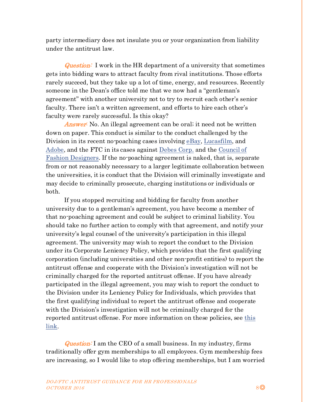party intermediary does not insulate you or your organization from liability under the antitrust law.

**Question:** I work in the HR department of a university that sometimes gets into bidding wars to attract faculty from rival institutions. Those efforts rarely succeed, but they take up a lot of time, energy, and resources. Recently someone in the Dean's office told me that we now had a "gentleman's agreement" with another university not to try to recruit each other's senior faculty. There isn't a written agreement, and efforts to hire each other's faculty were rarely successful. Is this okay?

Answer: No. An illegal agreement can be oral; it need not be written down on paper. This conduct is similar to the conduct challenged by the Division in its recent no-poaching cases involvin[g eBay,](https://www.justice.gov/atr/case/us-v-ebay-inc) [Lucasfilm,](https://www.justice.gov/atr/case/us-v-lucasfilm-ltd) and [Adobe,](https://www.justice.gov/atr/case/us-v-adobe-systems-inc-et-al) and the FTC in its cases against [Debes Corp.](https://www.ftc.gov/sites/default/files/documents/commission_decision_volumes/volume-115/ftc_volume_decision_115_january_-_december_1992pages_670-773.pdf) and the [Council of](https://www.ftc.gov/sites/default/files/documents/commission_decision_volumes/volume-120/ftc_volume_decision_120_july_-_december_1995pages_814_-_892.pdf)  [Fashion Designers.](https://www.ftc.gov/sites/default/files/documents/commission_decision_volumes/volume-120/ftc_volume_decision_120_july_-_december_1995pages_814_-_892.pdf) If the no-poaching agreement is naked, that is, separate from or not reasonably necessary to a larger legitimate collaboration between the universities, it is conduct that the Division will criminally investigate and may decide to criminally prosecute, charging institutions or individuals or both.

If you stopped recruiting and bidding for faculty from another university due to a gentleman's agreement, you have become a member of that no-poaching agreement and could be subject to criminal liability. You should take no further action to comply with that agreement, and notify your university's legal counsel of the university's participation in this illegal agreement. The university may wish to report the conduct to the Division under its Corporate Leniency Policy, which provides that the first qualifying corporation (including universities and other non-profit entities) to report the antitrust offense and cooperate with the Division's investigation will not be criminally charged for the reported antitrust offense. If you have already participated in the illegal agreement, you may wish to report the conduct to the Division under its Leniency Policy for Individuals, which provides that the first qualifying individual to report the antitrust offense and cooperate with the Division's investigation will not be criminally charged for the reported antitrust offense. For more information on these policies, see this [link.](https://www.justice.gov/atr/leniency-program)

**Question:** I am the CEO of a small business. In my industry, firms traditionally offer gym memberships to all employees. Gym membership fees are increasing, so I would like to stop offering memberships, but I am worried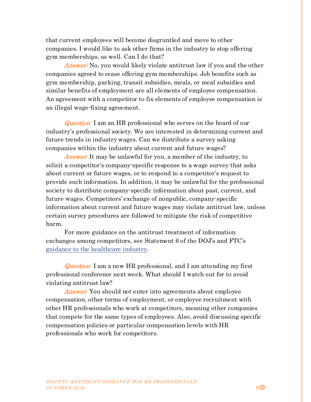that current employees will become disgruntled and move to other companies. I would like to ask other firms in the industry to stop offering gym memberships, as well. Can I do that?

Answer: No, you would likely violate antitrust law if you and the other companies agreed to cease offering gym memberships. Job benefits such as gym membership, parking, transit subsidies, meals, or meal subsidies and similar benefits of employment are all elements of employee compensation. An agreement with a competitor to fix elements of employee compensation is an illegal wage-fixing agreement.

Question: I am an HR professional who serves on the board of our industry's professional society. We are interested in determining current and future trends in industry wages. Can we distribute a survey asking companies within the industry about current and future wages?

Answer: It may be unlawful for you, a member of the industry, to solicit a competitor's company-specific response to a wage survey that asks about current or future wages, or to respond to a competitor's request to provide such information. In addition, it may be unlawful for the professional society to distribute company-specific information about past, current, and future wages. Competitors' exchange of nonpublic, company-specific information about current and future wages may violate antitrust law, unless certain survey procedures are followed to mitigate the risk of competitive harm.

For more guidance on the antitrust treatment of information exchanges among competitors, see Statement 6 of the DOJ's and FTC's [guidance to the healthcare industry.](https://www.justice.gov/atr/statements-antitrust-enforcement-policy-health-care)

Question: I am a new HR professional, and I am attending my first professional conference next week. What should I watch out for to avoid violating antitrust law?

**Answer:** You should not enter into agreements about employee compensation, other terms of employment, or employee recruitment with other HR professionals who work at competitors, meaning other companies that compete for the same types of employees. Also, avoid discussing specific compensation policies or particular compensation levels with HR professionals who work for competitors.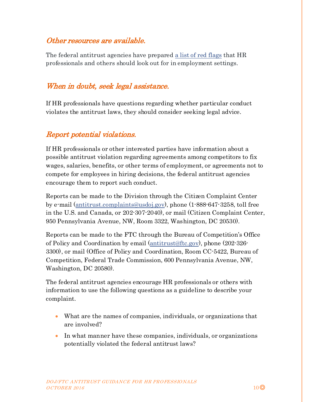#### Other resources are available.

The federal antitrust agencies have prepare[d a list of red flags](https://www.justice.gov/atr/file/903506/download) that HR professionals and others should look out for in employment settings.

## When in doubt, seek legal assistance.

If HR professionals have questions regarding whether particular conduct violates the antitrust laws, they should consider seeking legal advice.

#### Report potential violations.

If HR professionals or other interested parties have information about a possible antitrust violation regarding agreements among competitors to fix wages, salaries, benefits, or other terms of employment, or agreements not to compete for employees in hiring decisions, the federal antitrust agencies encourage them to report such conduct.

Reports can be made to the Division through the Citizen Complaint Center by e-mail [\(antitrust.complaints@usdoj.gov\)](mailto:antitrust.complaints@usdoj.gov), phone (1-888-647-3258, toll free in the U.S. and Canada, or 202-307-2040), or mail (Citizen Complaint Center, 950 Pennsylvania Avenue, NW, Room 3322, Washington, DC 20530).

Reports can be made to the FTC through the Bureau of Competition's Office of Policy and Coordination by email [\(antitrust@ftc.gov\)](mailto:antitrust@ftc.gov), phone (202-326- 3300), or mail (Office of Policy and Coordination, Room CC-5422, Bureau of Competition, Federal Trade Commission, 600 Pennsylvania Avenue, NW, Washington, DC 20580).

The federal antitrust agencies encourage HR professionals or others with information to use the following questions as a guideline to describe your complaint.

- What are the names of companies, individuals, or organizations that are involved?
- In what manner have these companies, individuals, or organizations potentially violated the federal antitrust laws?